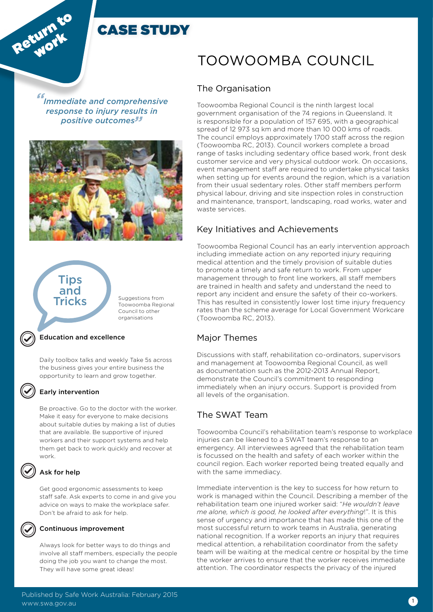

*" Immediate and comprehensive response to injury results in positive outcomes"*





#### Education and excellence

Daily toolbox talks and weekly Take 5s across the business gives your entire business the opportunity to learn and grow together.

#### Early intervention

Be proactive. Go to the doctor with the worker. Make it easy for everyone to make decisions about suitable duties by making a list of duties that are available. Be supportive of injured workers and their support systems and help them get back to work quickly and recover at work.

### Ask for help

Get good ergonomic assessments to keep staff safe. Ask experts to come in and give you advice on ways to make the workplace safer. Don't be afraid to ask for help.



#### Continuous improvement

Always look for better ways to do things and involve all staff members, especially the people doing the job you want to change the most. They will have some great ideas!

# TOOWOOMBA COUNCIL

# The Organisation

Toowoomba Regional Council is the ninth largest local government organisation of the 74 regions in Queensland. It is responsible for a population of 157 695, with a geographical spread of 12 973 sq km and more than 10 000 kms of roads. The council employs approximately 1700 staff across the region (Toowoomba RC, 2013). Council workers complete a broad range of tasks including sedentary office based work, front desk customer service and very physical outdoor work. On occasions, event management staff are required to undertake physical tasks when setting up for events around the region, which is a variation from their usual sedentary roles. Other staff members perform physical labour, driving and site inspection roles in construction and maintenance, transport, landscaping, road works, water and waste services.

# Key Initiatives and Achievements

Toowoomba Regional Council has an early intervention approach including immediate action on any reported injury requiring medical attention and the timely provision of suitable duties to promote a timely and safe return to work. From upper management through to front line workers, all staff members are trained in health and safety and understand the need to report any incident and ensure the safety of their co-workers. This has resulted in consistently lower lost time injury frequency rates than the scheme average for Local Government Workcare (Toowoomba RC, 2013).

### Major Themes

Discussions with staff, rehabilitation co-ordinators, supervisors and management at Toowoomba Regional Council, as well as documentation such as the 2012-2013 Annual Report, demonstrate the Council's commitment to responding immediately when an injury occurs. Support is provided from all levels of the organisation.

# The SWAT Team

Toowoomba Council's rehabilitation team's response to workplace injuries can be likened to a SWAT team's response to an emergency. All interviewees agreed that the rehabilitation team is focussed on the health and safety of each worker within the council region. Each worker reported being treated equally and with the same immediacy.

Immediate intervention is the key to success for how return to work is managed within the Council. Describing a member of the rehabilitation team one injured worker said: "*He wouldn't leave me alone, which is good, he looked after everything*!". It is this sense of urgency and importance that has made this one of the most successful return to work teams in Australia, generating national recognition. If a worker reports an injury that requires medical attention, a rehabilitation coordinator from the safety team will be waiting at the medical centre or hospital by the time the worker arrives to ensure that the worker receives immediate attention. The coordinator respects the privacy of the injured